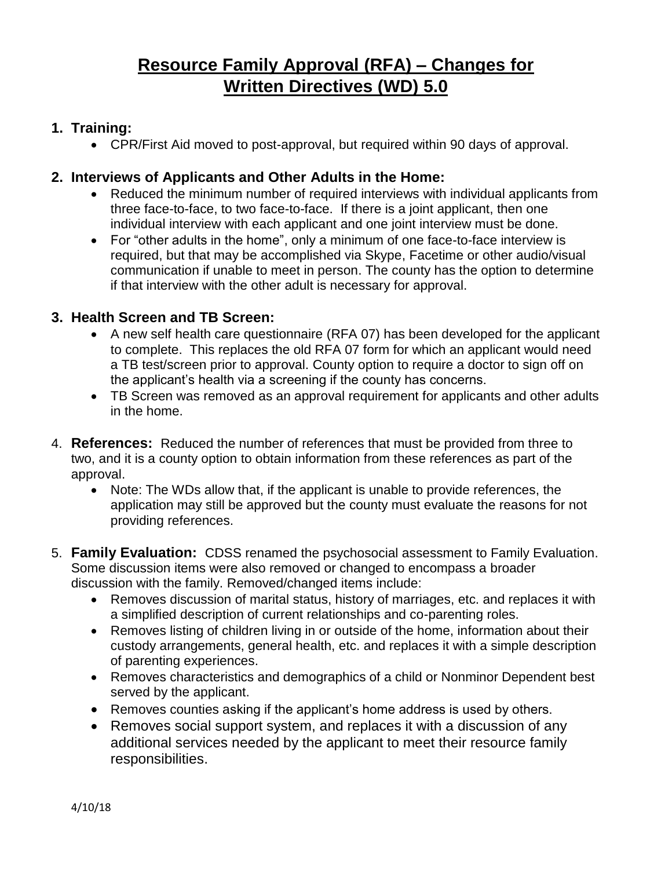# **Resource Family Approval (RFA) – Changes for Written Directives (WD) 5.0**

# **1. Training:**

CPR/First Aid moved to post-approval, but required within 90 days of approval.

# **2. Interviews of Applicants and Other Adults in the Home:**

- Reduced the minimum number of required interviews with individual applicants from three face-to-face, to two face-to-face. If there is a joint applicant, then one individual interview with each applicant and one joint interview must be done.
- For "other adults in the home", only a minimum of one face-to-face interview is required, but that may be accomplished via Skype, Facetime or other audio/visual communication if unable to meet in person. The county has the option to determine if that interview with the other adult is necessary for approval.

### **3. Health Screen and TB Screen:**

- A new self health care questionnaire (RFA 07) has been developed for the applicant to complete. This replaces the old RFA 07 form for which an applicant would need a TB test/screen prior to approval. County option to require a doctor to sign off on the applicant's health via a screening if the county has concerns.
- TB Screen was removed as an approval requirement for applicants and other adults in the home.
- 4. **References:** Reduced the number of references that must be provided from three to two, and it is a county option to obtain information from these references as part of the approval.
	- Note: The WDs allow that, if the applicant is unable to provide references, the application may still be approved but the county must evaluate the reasons for not providing references.
- 5. **Family Evaluation:** CDSS renamed the psychosocial assessment to Family Evaluation. Some discussion items were also removed or changed to encompass a broader discussion with the family. Removed/changed items include:
	- Removes discussion of marital status, history of marriages, etc. and replaces it with a simplified description of current relationships and co-parenting roles.
	- Removes listing of children living in or outside of the home, information about their custody arrangements, general health, etc. and replaces it with a simple description of parenting experiences.
	- Removes characteristics and demographics of a child or Nonminor Dependent best served by the applicant.
	- Removes counties asking if the applicant's home address is used by others.
	- Removes social support system, and replaces it with a discussion of any additional services needed by the applicant to meet their resource family responsibilities.